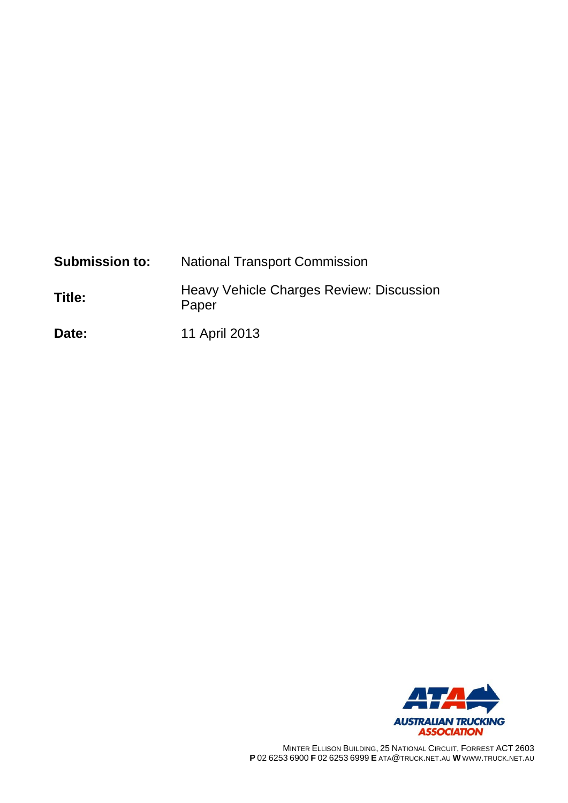| <b>Submission to:</b> | <b>National Transport Commission</b>              |  |  |  |
|-----------------------|---------------------------------------------------|--|--|--|
| Title:                | Heavy Vehicle Charges Review: Discussion<br>Paper |  |  |  |
| Date:                 | 11 April 2013                                     |  |  |  |



MINTER ELLISON BUILDING, 25 NATIONAL CIRCUIT, FORREST ACT 2603 **P** 02 6253 6900 **F** 02 6253 6999 **E** ATA@TRUCK.NET.AU **W** WWW.TRUCK.NET.AU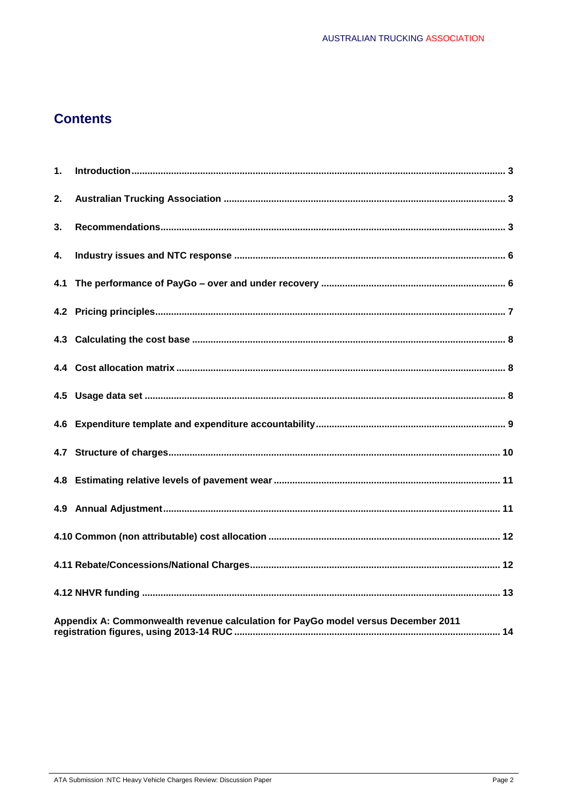# **Contents**

| 1. |                                                                                   |  |
|----|-----------------------------------------------------------------------------------|--|
| 2. |                                                                                   |  |
| 3. |                                                                                   |  |
| 4. |                                                                                   |  |
|    |                                                                                   |  |
|    |                                                                                   |  |
|    |                                                                                   |  |
|    |                                                                                   |  |
|    |                                                                                   |  |
|    |                                                                                   |  |
|    |                                                                                   |  |
|    |                                                                                   |  |
|    |                                                                                   |  |
|    |                                                                                   |  |
|    |                                                                                   |  |
|    |                                                                                   |  |
|    | Appendix A: Commonwealth revenue calculation for PayGo model versus December 2011 |  |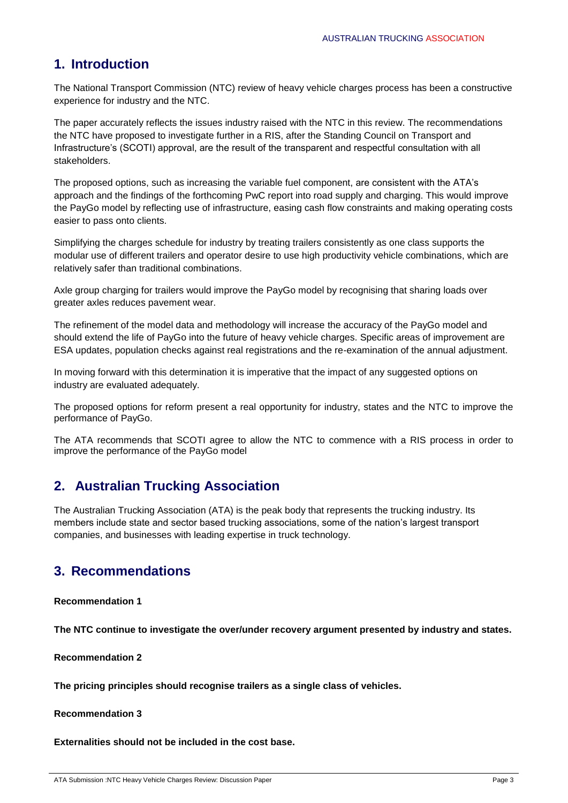# **1. Introduction**

The National Transport Commission (NTC) review of heavy vehicle charges process has been a constructive experience for industry and the NTC.

The paper accurately reflects the issues industry raised with the NTC in this review. The recommendations the NTC have proposed to investigate further in a RIS, after the Standing Council on Transport and Infrastructure's (SCOTI) approval, are the result of the transparent and respectful consultation with all stakeholders.

The proposed options, such as increasing the variable fuel component, are consistent with the ATA's approach and the findings of the forthcoming PwC report into road supply and charging. This would improve the PayGo model by reflecting use of infrastructure, easing cash flow constraints and making operating costs easier to pass onto clients.

Simplifying the charges schedule for industry by treating trailers consistently as one class supports the modular use of different trailers and operator desire to use high productivity vehicle combinations, which are relatively safer than traditional combinations.

Axle group charging for trailers would improve the PayGo model by recognising that sharing loads over greater axles reduces pavement wear.

The refinement of the model data and methodology will increase the accuracy of the PayGo model and should extend the life of PayGo into the future of heavy vehicle charges. Specific areas of improvement are ESA updates, population checks against real registrations and the re-examination of the annual adjustment.

In moving forward with this determination it is imperative that the impact of any suggested options on industry are evaluated adequately.

The proposed options for reform present a real opportunity for industry, states and the NTC to improve the performance of PayGo.

The ATA recommends that SCOTI agree to allow the NTC to commence with a RIS process in order to improve the performance of the PayGo model

# **2. Australian Trucking Association**

The Australian Trucking Association (ATA) is the peak body that represents the trucking industry. Its members include state and sector based trucking associations, some of the nation's largest transport companies, and businesses with leading expertise in truck technology.

# **3. Recommendations**

**Recommendation 1**

**The NTC continue to investigate the over/under recovery argument presented by industry and states.**

**Recommendation 2**

**The pricing principles should recognise trailers as a single class of vehicles.**

**Recommendation 3**

**Externalities should not be included in the cost base.**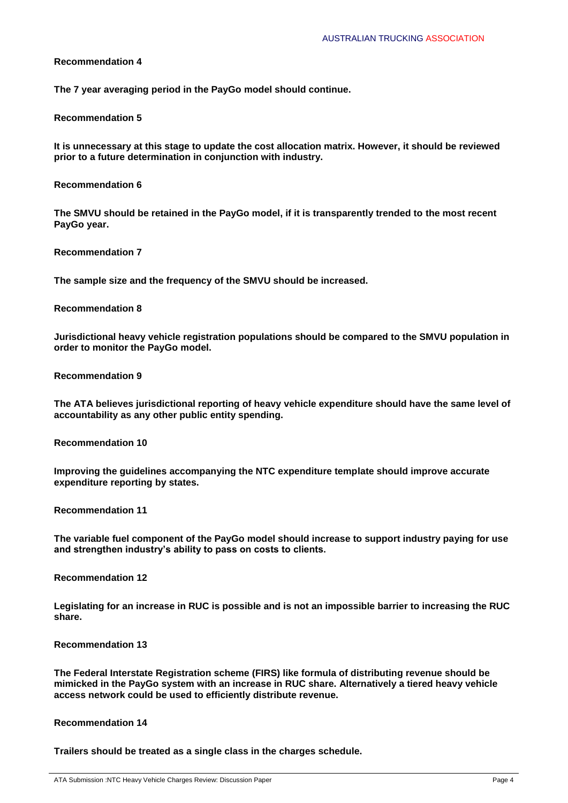**The 7 year averaging period in the PayGo model should continue.**

#### **Recommendation 5**

**It is unnecessary at this stage to update the cost allocation matrix. However, it should be reviewed prior to a future determination in conjunction with industry.**

#### **Recommendation 6**

**The SMVU should be retained in the PayGo model, if it is transparently trended to the most recent PayGo year.**

**Recommendation 7**

**The sample size and the frequency of the SMVU should be increased.**

#### **Recommendation 8**

**Jurisdictional heavy vehicle registration populations should be compared to the SMVU population in order to monitor the PayGo model.**

### **Recommendation 9**

**The ATA believes jurisdictional reporting of heavy vehicle expenditure should have the same level of accountability as any other public entity spending.**

**Recommendation 10**

**Improving the guidelines accompanying the NTC expenditure template should improve accurate expenditure reporting by states.**

**Recommendation 11**

**The variable fuel component of the PayGo model should increase to support industry paying for use and strengthen industry's ability to pass on costs to clients.**

**Recommendation 12**

**Legislating for an increase in RUC is possible and is not an impossible barrier to increasing the RUC share.**

#### **Recommendation 13**

**The Federal Interstate Registration scheme (FIRS) like formula of distributing revenue should be mimicked in the PayGo system with an increase in RUC share. Alternatively a tiered heavy vehicle access network could be used to efficiently distribute revenue.**

#### **Recommendation 14**

**Trailers should be treated as a single class in the charges schedule.**

ATA Submission :NTC Heavy Vehicle Charges Review: Discussion Paper Page 4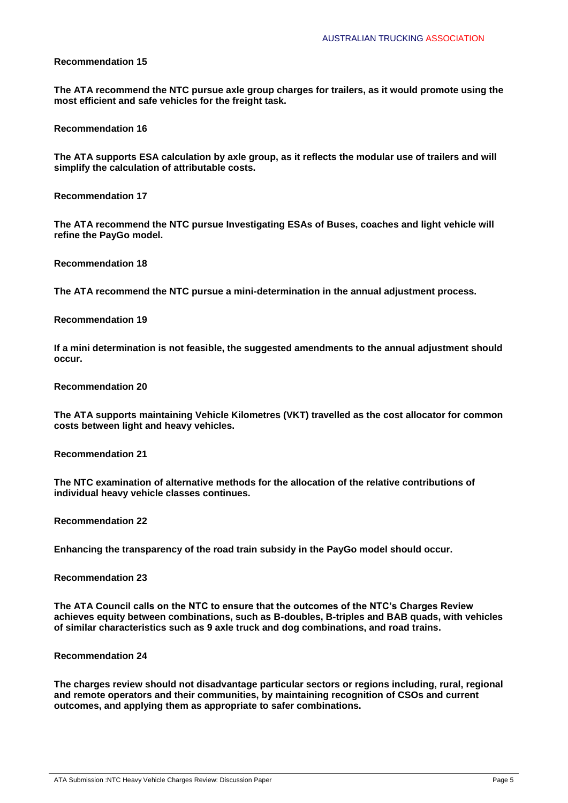**The ATA recommend the NTC pursue axle group charges for trailers, as it would promote using the most efficient and safe vehicles for the freight task.**

**Recommendation 16**

**The ATA supports ESA calculation by axle group, as it reflects the modular use of trailers and will simplify the calculation of attributable costs.**

**Recommendation 17**

**The ATA recommend the NTC pursue Investigating ESAs of Buses, coaches and light vehicle will refine the PayGo model.**

**Recommendation 18**

**The ATA recommend the NTC pursue a mini-determination in the annual adjustment process.**

**Recommendation 19**

**If a mini determination is not feasible, the suggested amendments to the annual adjustment should occur.**

**Recommendation 20**

**The ATA supports maintaining Vehicle Kilometres (VKT) travelled as the cost allocator for common costs between light and heavy vehicles.**

**Recommendation 21**

**The NTC examination of alternative methods for the allocation of the relative contributions of individual heavy vehicle classes continues.**

**Recommendation 22**

**Enhancing the transparency of the road train subsidy in the PayGo model should occur.**

**Recommendation 23**

**The ATA Council calls on the NTC to ensure that the outcomes of the NTC's Charges Review achieves equity between combinations, such as B-doubles, B-triples and BAB quads, with vehicles of similar characteristics such as 9 axle truck and dog combinations, and road trains.**

**Recommendation 24**

**The charges review should not disadvantage particular sectors or regions including, rural, regional and remote operators and their communities, by maintaining recognition of CSOs and current outcomes, and applying them as appropriate to safer combinations.**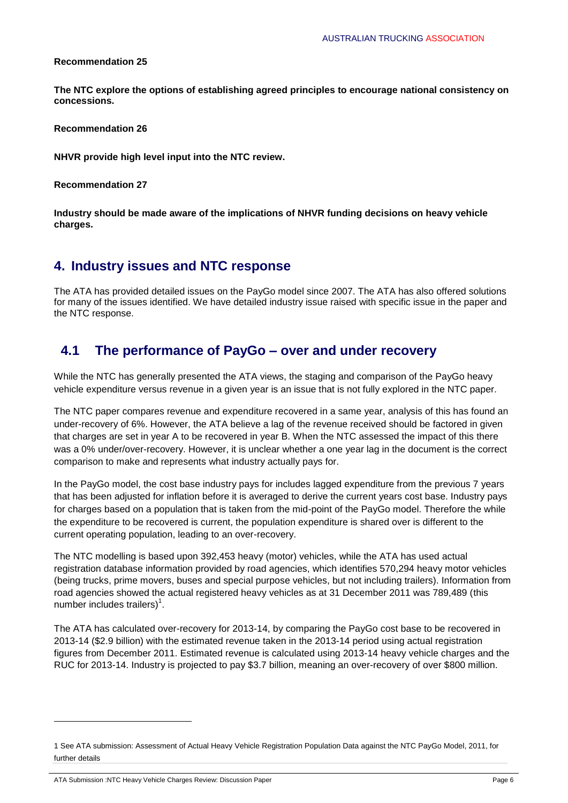**The NTC explore the options of establishing agreed principles to encourage national consistency on concessions.**

**Recommendation 26**

**NHVR provide high level input into the NTC review.**

**Recommendation 27**

**Industry should be made aware of the implications of NHVR funding decisions on heavy vehicle charges.**

# **4. Industry issues and NTC response**

The ATA has provided detailed issues on the PayGo model since 2007. The ATA has also offered solutions for many of the issues identified. We have detailed industry issue raised with specific issue in the paper and the NTC response.

# **4.1 The performance of PayGo – over and under recovery**

While the NTC has generally presented the ATA views, the staging and comparison of the PayGo heavy vehicle expenditure versus revenue in a given year is an issue that is not fully explored in the NTC paper.

The NTC paper compares revenue and expenditure recovered in a same year, analysis of this has found an under-recovery of 6%. However, the ATA believe a lag of the revenue received should be factored in given that charges are set in year A to be recovered in year B. When the NTC assessed the impact of this there was a 0% under/over-recovery. However, it is unclear whether a one year lag in the document is the correct comparison to make and represents what industry actually pays for.

In the PayGo model, the cost base industry pays for includes lagged expenditure from the previous 7 years that has been adjusted for inflation before it is averaged to derive the current years cost base. Industry pays for charges based on a population that is taken from the mid-point of the PayGo model. Therefore the while the expenditure to be recovered is current, the population expenditure is shared over is different to the current operating population, leading to an over-recovery.

The NTC modelling is based upon 392,453 heavy (motor) vehicles, while the ATA has used actual registration database information provided by road agencies, which identifies 570,294 heavy motor vehicles (being trucks, prime movers, buses and special purpose vehicles, but not including trailers). Information from road agencies showed the actual registered heavy vehicles as at 31 December 2011 was 789,489 (this number includes trailers) $<sup>1</sup>$ .</sup>

The ATA has calculated over-recovery for 2013-14, by comparing the PayGo cost base to be recovered in 2013-14 (\$2.9 billion) with the estimated revenue taken in the 2013-14 period using actual registration figures from December 2011. Estimated revenue is calculated using 2013-14 heavy vehicle charges and the RUC for 2013-14. Industry is projected to pay \$3.7 billion, meaning an over-recovery of over \$800 million.

ATA Submission :NTC Heavy Vehicle Charges Review: Discussion Paper Page 6

1

<sup>1</sup> See ATA submission: Assessment of Actual Heavy Vehicle Registration Population Data against the NTC PayGo Model, 2011, for further details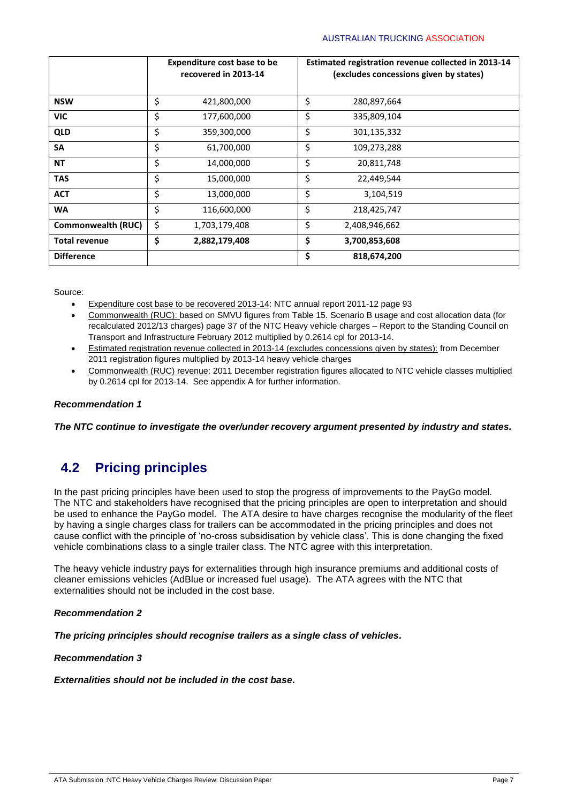|                           | <b>Expenditure cost base to be</b><br>recovered in 2013-14 | Estimated registration revenue collected in 2013-14<br>(excludes concessions given by states) |
|---------------------------|------------------------------------------------------------|-----------------------------------------------------------------------------------------------|
| <b>NSW</b>                | \$<br>421,800,000                                          | \$<br>280,897,664                                                                             |
| <b>VIC</b>                | \$<br>177,600,000                                          | \$<br>335,809,104                                                                             |
| <b>QLD</b>                | \$<br>359,300,000                                          | \$<br>301,135,332                                                                             |
| SA                        | \$<br>61,700,000                                           | \$<br>109,273,288                                                                             |
| <b>NT</b>                 | \$<br>14,000,000                                           | \$<br>20,811,748                                                                              |
| <b>TAS</b>                | \$<br>15,000,000                                           | \$<br>22,449,544                                                                              |
| <b>ACT</b>                | \$<br>13,000,000                                           | \$<br>3,104,519                                                                               |
| <b>WA</b>                 | \$<br>116,600,000                                          | \$<br>218,425,747                                                                             |
| <b>Commonwealth (RUC)</b> | \$<br>1,703,179,408                                        | \$<br>2,408,946,662                                                                           |
| <b>Total revenue</b>      | \$<br>2,882,179,408                                        | \$<br>3,700,853,608                                                                           |
| <b>Difference</b>         |                                                            | \$<br>818,674,200                                                                             |

Source:

- Expenditure cost base to be recovered 2013-14: NTC annual report 2011-12 page 93
- Commonwealth (RUC): based on SMVU figures from Table 15. Scenario B usage and cost allocation data (for recalculated 2012/13 charges) page 37 of the NTC Heavy vehicle charges – Report to the Standing Council on Transport and Infrastructure February 2012 multiplied by 0.2614 cpl for 2013-14.
- Estimated registration revenue collected in 2013-14 (excludes concessions given by states): from December 2011 registration figures multiplied by 2013-14 heavy vehicle charges
- Commonwealth (RUC) revenue: 2011 December registration figures allocated to NTC vehicle classes multiplied by 0.2614 cpl for 2013-14. See appendix A for further information.

# *Recommendation 1*

*The NTC continue to investigate the over/under recovery argument presented by industry and states.* 

# **4.2 Pricing principles**

In the past pricing principles have been used to stop the progress of improvements to the PayGo model. The NTC and stakeholders have recognised that the pricing principles are open to interpretation and should be used to enhance the PayGo model. The ATA desire to have charges recognise the modularity of the fleet by having a single charges class for trailers can be accommodated in the pricing principles and does not cause conflict with the principle of 'no-cross subsidisation by vehicle class'. This is done changing the fixed vehicle combinations class to a single trailer class. The NTC agree with this interpretation.

The heavy vehicle industry pays for externalities through high insurance premiums and additional costs of cleaner emissions vehicles (AdBlue or increased fuel usage). The ATA agrees with the NTC that externalities should not be included in the cost base.

# *Recommendation 2*

*The pricing principles should recognise trailers as a single class of vehicles.*

*Recommendation 3*

*Externalities should not be included in the cost base.*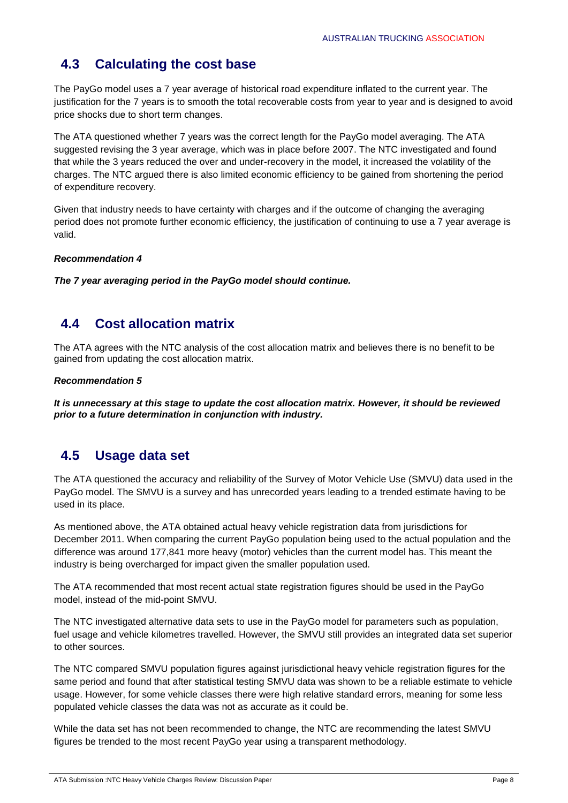# **4.3 Calculating the cost base**

The PayGo model uses a 7 year average of historical road expenditure inflated to the current year. The justification for the 7 years is to smooth the total recoverable costs from year to year and is designed to avoid price shocks due to short term changes.

The ATA questioned whether 7 years was the correct length for the PayGo model averaging. The ATA suggested revising the 3 year average, which was in place before 2007. The NTC investigated and found that while the 3 years reduced the over and under-recovery in the model, it increased the volatility of the charges. The NTC argued there is also limited economic efficiency to be gained from shortening the period of expenditure recovery.

Given that industry needs to have certainty with charges and if the outcome of changing the averaging period does not promote further economic efficiency, the justification of continuing to use a 7 year average is valid.

# *Recommendation 4*

*The 7 year averaging period in the PayGo model should continue.*

# **4.4 Cost allocation matrix**

The ATA agrees with the NTC analysis of the cost allocation matrix and believes there is no benefit to be gained from updating the cost allocation matrix.

# *Recommendation 5*

*It is unnecessary at this stage to update the cost allocation matrix. However, it should be reviewed prior to a future determination in conjunction with industry.* 

# **4.5 Usage data set**

The ATA questioned the accuracy and reliability of the Survey of Motor Vehicle Use (SMVU) data used in the PayGo model. The SMVU is a survey and has unrecorded years leading to a trended estimate having to be used in its place.

As mentioned above, the ATA obtained actual heavy vehicle registration data from jurisdictions for December 2011. When comparing the current PayGo population being used to the actual population and the difference was around 177,841 more heavy (motor) vehicles than the current model has. This meant the industry is being overcharged for impact given the smaller population used.

The ATA recommended that most recent actual state registration figures should be used in the PayGo model, instead of the mid-point SMVU.

The NTC investigated alternative data sets to use in the PayGo model for parameters such as population, fuel usage and vehicle kilometres travelled. However, the SMVU still provides an integrated data set superior to other sources.

The NTC compared SMVU population figures against jurisdictional heavy vehicle registration figures for the same period and found that after statistical testing SMVU data was shown to be a reliable estimate to vehicle usage. However, for some vehicle classes there were high relative standard errors, meaning for some less populated vehicle classes the data was not as accurate as it could be.

While the data set has not been recommended to change, the NTC are recommending the latest SMVU figures be trended to the most recent PayGo year using a transparent methodology.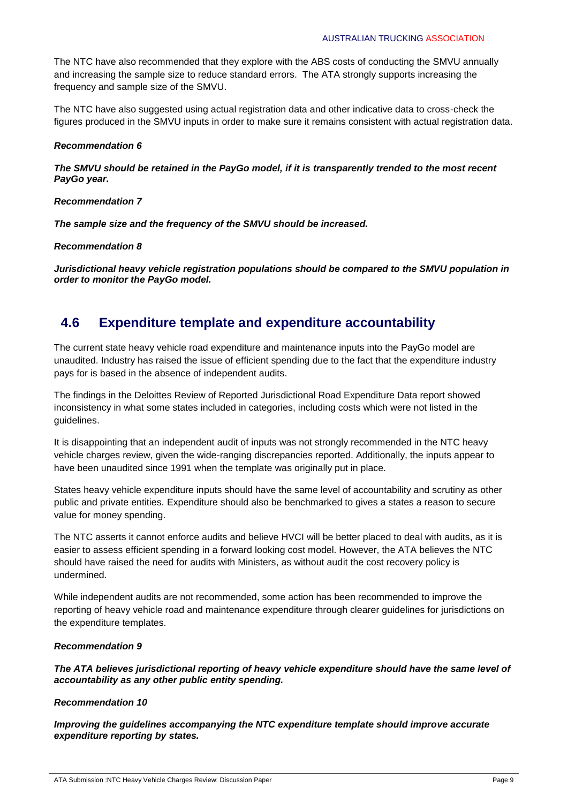The NTC have also recommended that they explore with the ABS costs of conducting the SMVU annually and increasing the sample size to reduce standard errors. The ATA strongly supports increasing the frequency and sample size of the SMVU.

The NTC have also suggested using actual registration data and other indicative data to cross-check the figures produced in the SMVU inputs in order to make sure it remains consistent with actual registration data.

### *Recommendation 6*

*The SMVU should be retained in the PayGo model, if it is transparently trended to the most recent PayGo year.* 

### *Recommendation 7*

*The sample size and the frequency of the SMVU should be increased.* 

### *Recommendation 8*

*Jurisdictional heavy vehicle registration populations should be compared to the SMVU population in order to monitor the PayGo model.*

# **4.6 Expenditure template and expenditure accountability**

The current state heavy vehicle road expenditure and maintenance inputs into the PayGo model are unaudited. Industry has raised the issue of efficient spending due to the fact that the expenditure industry pays for is based in the absence of independent audits.

The findings in the Deloittes Review of Reported Jurisdictional Road Expenditure Data report showed inconsistency in what some states included in categories, including costs which were not listed in the guidelines.

It is disappointing that an independent audit of inputs was not strongly recommended in the NTC heavy vehicle charges review, given the wide-ranging discrepancies reported. Additionally, the inputs appear to have been unaudited since 1991 when the template was originally put in place.

States heavy vehicle expenditure inputs should have the same level of accountability and scrutiny as other public and private entities. Expenditure should also be benchmarked to gives a states a reason to secure value for money spending.

The NTC asserts it cannot enforce audits and believe HVCI will be better placed to deal with audits, as it is easier to assess efficient spending in a forward looking cost model. However, the ATA believes the NTC should have raised the need for audits with Ministers, as without audit the cost recovery policy is undermined.

While independent audits are not recommended, some action has been recommended to improve the reporting of heavy vehicle road and maintenance expenditure through clearer guidelines for jurisdictions on the expenditure templates.

# *Recommendation 9*

*The ATA believes jurisdictional reporting of heavy vehicle expenditure should have the same level of accountability as any other public entity spending.* 

# *Recommendation 10*

*Improving the guidelines accompanying the NTC expenditure template should improve accurate expenditure reporting by states.*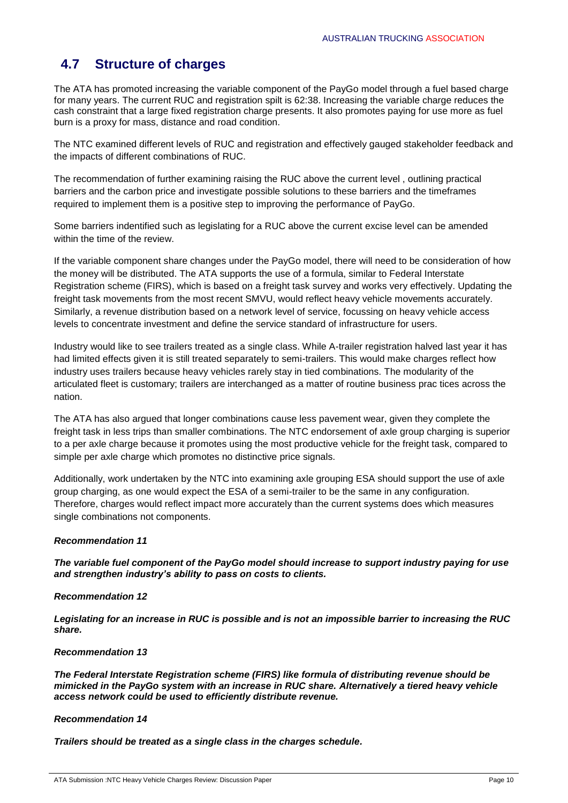# **4.7 Structure of charges**

The ATA has promoted increasing the variable component of the PayGo model through a fuel based charge for many years. The current RUC and registration spilt is 62:38. Increasing the variable charge reduces the cash constraint that a large fixed registration charge presents. It also promotes paying for use more as fuel burn is a proxy for mass, distance and road condition.

The NTC examined different levels of RUC and registration and effectively gauged stakeholder feedback and the impacts of different combinations of RUC.

The recommendation of further examining raising the RUC above the current level , outlining practical barriers and the carbon price and investigate possible solutions to these barriers and the timeframes required to implement them is a positive step to improving the performance of PayGo.

Some barriers indentified such as legislating for a RUC above the current excise level can be amended within the time of the review.

If the variable component share changes under the PayGo model, there will need to be consideration of how the money will be distributed. The ATA supports the use of a formula, similar to Federal Interstate Registration scheme (FIRS), which is based on a freight task survey and works very effectively. Updating the freight task movements from the most recent SMVU, would reflect heavy vehicle movements accurately. Similarly, a revenue distribution based on a network level of service, focussing on heavy vehicle access levels to concentrate investment and define the service standard of infrastructure for users.

Industry would like to see trailers treated as a single class. While A-trailer registration halved last year it has had limited effects given it is still treated separately to semi-trailers. This would make charges reflect how industry uses trailers because heavy vehicles rarely stay in tied combinations. The modularity of the articulated fleet is customary; trailers are interchanged as a matter of routine business prac tices across the nation.

The ATA has also argued that longer combinations cause less pavement wear, given they complete the freight task in less trips than smaller combinations. The NTC endorsement of axle group charging is superior to a per axle charge because it promotes using the most productive vehicle for the freight task, compared to simple per axle charge which promotes no distinctive price signals.

Additionally, work undertaken by the NTC into examining axle grouping ESA should support the use of axle group charging, as one would expect the ESA of a semi-trailer to be the same in any configuration. Therefore, charges would reflect impact more accurately than the current systems does which measures single combinations not components.

# *Recommendation 11*

*The variable fuel component of the PayGo model should increase to support industry paying for use and strengthen industry's ability to pass on costs to clients.* 

#### *Recommendation 12*

*Legislating for an increase in RUC is possible and is not an impossible barrier to increasing the RUC share.* 

### *Recommendation 13*

*The Federal Interstate Registration scheme (FIRS) like formula of distributing revenue should be mimicked in the PayGo system with an increase in RUC share. Alternatively a tiered heavy vehicle access network could be used to efficiently distribute revenue.* 

#### *Recommendation 14*

*Trailers should be treated as a single class in the charges schedule.*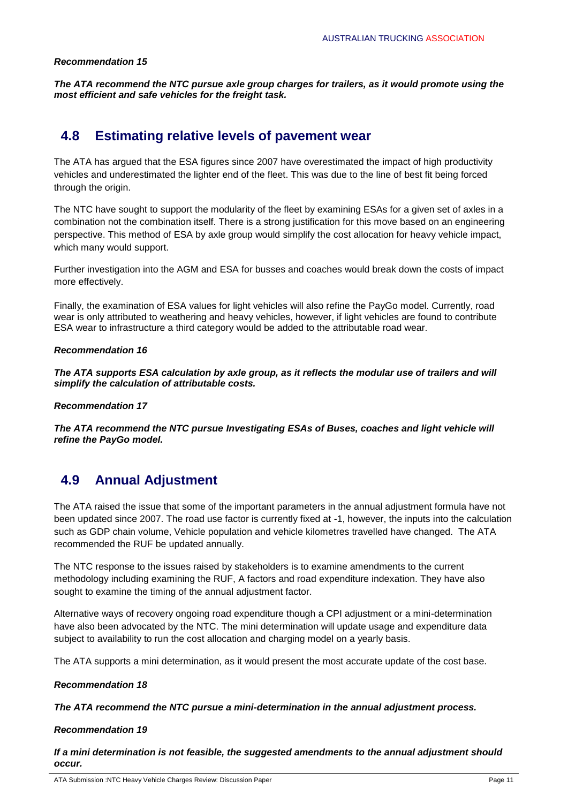*The ATA recommend the NTC pursue axle group charges for trailers, as it would promote using the most efficient and safe vehicles for the freight task.* 

# **4.8 Estimating relative levels of pavement wear**

The ATA has argued that the ESA figures since 2007 have overestimated the impact of high productivity vehicles and underestimated the lighter end of the fleet. This was due to the line of best fit being forced through the origin.

The NTC have sought to support the modularity of the fleet by examining ESAs for a given set of axles in a combination not the combination itself. There is a strong justification for this move based on an engineering perspective. This method of ESA by axle group would simplify the cost allocation for heavy vehicle impact, which many would support.

Further investigation into the AGM and ESA for busses and coaches would break down the costs of impact more effectively.

Finally, the examination of ESA values for light vehicles will also refine the PayGo model. Currently, road wear is only attributed to weathering and heavy vehicles, however, if light vehicles are found to contribute ESA wear to infrastructure a third category would be added to the attributable road wear.

### *Recommendation 16*

*The ATA supports ESA calculation by axle group, as it reflects the modular use of trailers and will simplify the calculation of attributable costs.* 

#### *Recommendation 17*

*The ATA recommend the NTC pursue Investigating ESAs of Buses, coaches and light vehicle will refine the PayGo model.* 

# **4.9 Annual Adjustment**

The ATA raised the issue that some of the important parameters in the annual adjustment formula have not been updated since 2007. The road use factor is currently fixed at -1, however, the inputs into the calculation such as GDP chain volume, Vehicle population and vehicle kilometres travelled have changed. The ATA recommended the RUF be updated annually.

The NTC response to the issues raised by stakeholders is to examine amendments to the current methodology including examining the RUF, A factors and road expenditure indexation. They have also sought to examine the timing of the annual adjustment factor.

Alternative ways of recovery ongoing road expenditure though a CPI adjustment or a mini-determination have also been advocated by the NTC. The mini determination will update usage and expenditure data subject to availability to run the cost allocation and charging model on a yearly basis.

The ATA supports a mini determination, as it would present the most accurate update of the cost base.

# *Recommendation 18*

*The ATA recommend the NTC pursue a mini-determination in the annual adjustment process.*

# *Recommendation 19*

*If a mini determination is not feasible, the suggested amendments to the annual adjustment should occur.*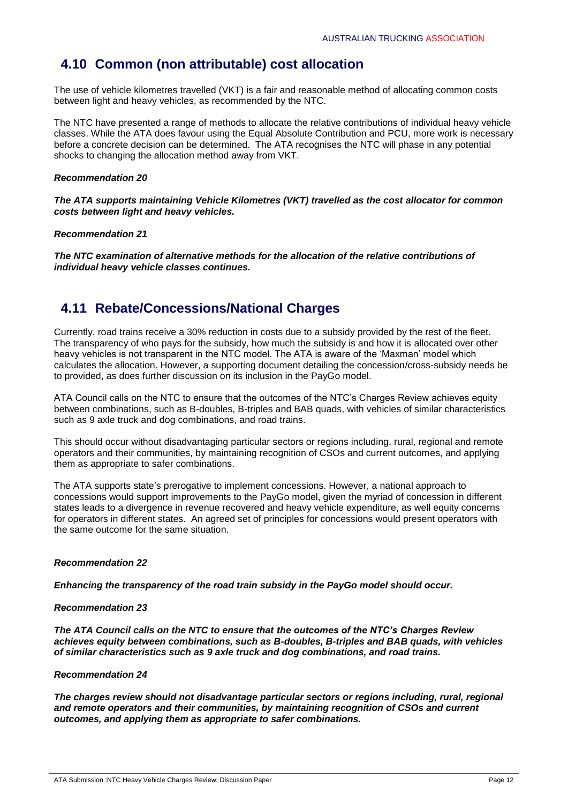# **4.10 Common (non attributable) cost allocation**

The use of vehicle kilometres travelled (VKT) is a fair and reasonable method of allocating common costs between light and heavy vehicles, as recommended by the NTC.

The NTC have presented a range of methods to allocate the relative contributions of individual heavy vehicle classes. While the ATA does favour using the Equal Absolute Contribution and PCU, more work is necessary before a concrete decision can be determined. The ATA recognises the NTC will phase in any potential shocks to changing the allocation method away from VKT.

### *Recommendation 20*

*The ATA supports maintaining Vehicle Kilometres (VKT) travelled as the cost allocator for common costs between light and heavy vehicles.* 

#### *Recommendation 21*

*The NTC examination of alternative methods for the allocation of the relative contributions of individual heavy vehicle classes continues.* 

# **4.11 Rebate/Concessions/National Charges**

Currently, road trains receive a 30% reduction in costs due to a subsidy provided by the rest of the fleet. The transparency of who pays for the subsidy, how much the subsidy is and how it is allocated over other heavy vehicles is not transparent in the NTC model. The ATA is aware of the 'Maxman' model which calculates the allocation. However, a supporting document detailing the concession/cross-subsidy needs be to provided, as does further discussion on its inclusion in the PayGo model.

ATA Council calls on the NTC to ensure that the outcomes of the NTC's Charges Review achieves equity between combinations, such as B-doubles, B-triples and BAB quads, with vehicles of similar characteristics such as 9 axle truck and dog combinations, and road trains.

This should occur without disadvantaging particular sectors or regions including, rural, regional and remote operators and their communities, by maintaining recognition of CSOs and current outcomes, and applying them as appropriate to safer combinations.

The ATA supports state's prerogative to implement concessions. However, a national approach to concessions would support improvements to the PayGo model, given the myriad of concession in different states leads to a divergence in revenue recovered and heavy vehicle expenditure, as well equity concerns for operators in different states. An agreed set of principles for concessions would present operators with the same outcome for the same situation.

# *Recommendation 22*

*Enhancing the transparency of the road train subsidy in the PayGo model should occur.* 

#### *Recommendation 23*

*The ATA Council calls on the NTC to ensure that the outcomes of the NTC's Charges Review achieves equity between combinations, such as B-doubles, B-triples and BAB quads, with vehicles of similar characteristics such as 9 axle truck and dog combinations, and road trains.* 

#### *Recommendation 24*

*The charges review should not disadvantage particular sectors or regions including, rural, regional and remote operators and their communities, by maintaining recognition of CSOs and current outcomes, and applying them as appropriate to safer combinations.*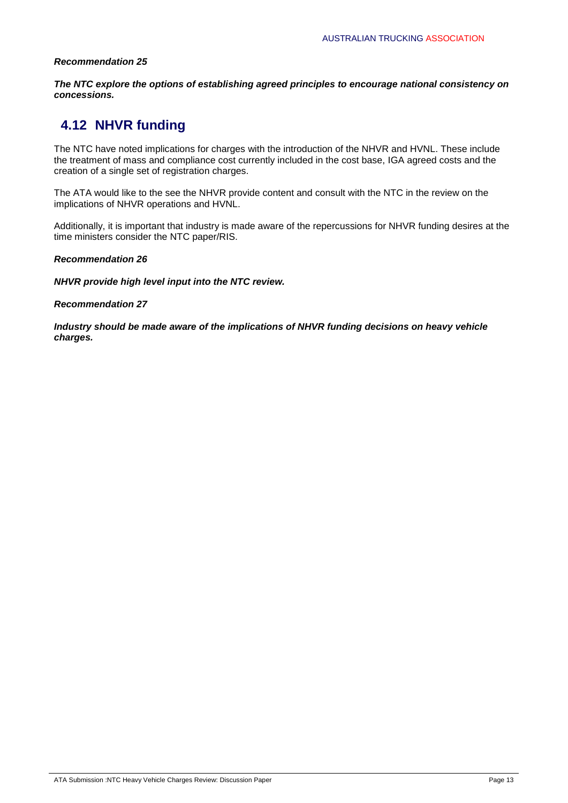*The NTC explore the options of establishing agreed principles to encourage national consistency on concessions.*

# **4.12 NHVR funding**

The NTC have noted implications for charges with the introduction of the NHVR and HVNL. These include the treatment of mass and compliance cost currently included in the cost base, IGA agreed costs and the creation of a single set of registration charges.

The ATA would like to the see the NHVR provide content and consult with the NTC in the review on the implications of NHVR operations and HVNL.

Additionally, it is important that industry is made aware of the repercussions for NHVR funding desires at the time ministers consider the NTC paper/RIS.

### *Recommendation 26*

*NHVR provide high level input into the NTC review.* 

### *Recommendation 27*

*Industry should be made aware of the implications of NHVR funding decisions on heavy vehicle charges.*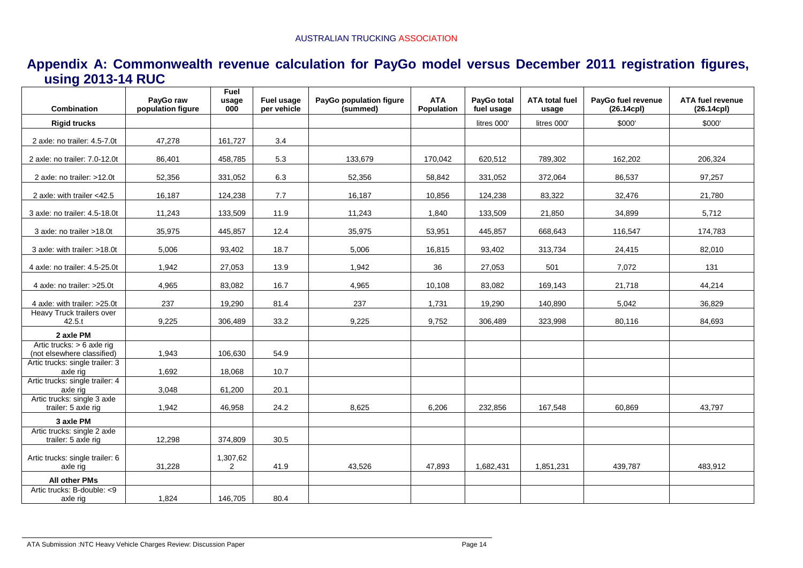| Appendix A: Commonwealth revenue calculation for PayGo model versus December 2011 registration figures, |  |  |  |
|---------------------------------------------------------------------------------------------------------|--|--|--|
| using 2013-14 RUC                                                                                       |  |  |  |

| Combination                                                | PayGo raw<br>population figure | <b>Fuel</b><br>usage<br>000 | Fuel usage<br>per vehicle | PayGo population figure<br>(summed) | <b>ATA</b><br>Population | PayGo total<br>fuel usage | <b>ATA total fuel</b><br>usage | PayGo fuel revenue<br>$(26.14$ cpl $)$ | ATA fuel revenue<br>$(26.14$ cpl $)$ |
|------------------------------------------------------------|--------------------------------|-----------------------------|---------------------------|-------------------------------------|--------------------------|---------------------------|--------------------------------|----------------------------------------|--------------------------------------|
| <b>Rigid trucks</b>                                        |                                |                             |                           |                                     |                          | litres 000'               | litres 000'                    | \$000'                                 | \$000'                               |
| 2 axle: no trailer: 4.5-7.0t                               | 47,278                         | 161,727                     | 3.4                       |                                     |                          |                           |                                |                                        |                                      |
| 2 axle: no trailer: 7.0-12.0t                              | 86,401                         | 458,785                     | 5.3                       | 133,679                             | 170,042                  | 620,512                   | 789,302                        | 162,202                                | 206,324                              |
| 2 axle: no trailer: >12.0t                                 | 52,356                         | 331,052                     | 6.3                       | 52,356                              | 58,842                   | 331,052                   | 372,064                        | 86,537                                 | 97,257                               |
| 2 axle: with trailer <42.5                                 | 16,187                         | 124,238                     | 7.7                       | 16,187                              | 10,856                   | 124,238                   | 83,322                         | 32,476                                 | 21,780                               |
| 3 axle: no trailer: 4.5-18.0t                              | 11,243                         | 133,509                     | 11.9                      | 11,243                              | 1,840                    | 133,509                   | 21,850                         | 34,899                                 | 5,712                                |
| 3 axle: no trailer >18.0t                                  | 35,975                         | 445,857                     | 12.4                      | 35,975                              | 53,951                   | 445,857                   | 668,643                        | 116,547                                | 174,783                              |
| 3 axle: with trailer: >18.0t                               | 5,006                          | 93,402                      | 18.7                      | 5,006                               | 16,815                   | 93,402                    | 313,734                        | 24,415                                 | 82,010                               |
| 4 axle: no trailer: 4.5-25.0t                              | 1,942                          | 27,053                      | 13.9                      | 1,942                               | 36                       | 27,053                    | 501                            | 7,072                                  | 131                                  |
| 4 axle: no trailer: >25.0t                                 | 4,965                          | 83,082                      | 16.7                      | 4,965                               | 10,108                   | 83,082                    | 169,143                        | 21,718                                 | 44,214                               |
| 4 axle: with trailer: >25.0t                               | 237                            | 19.290                      | 81.4                      | 237                                 | 1,731                    | 19,290                    | 140,890                        | 5,042                                  | 36,829                               |
| Heavy Truck trailers over<br>42.5.t                        | 9,225                          | 306,489                     | 33.2                      | 9,225                               | 9,752                    | 306,489                   | 323,998                        | 80,116                                 | 84,693                               |
| 2 axle PM                                                  |                                |                             |                           |                                     |                          |                           |                                |                                        |                                      |
| Artic trucks: $> 6$ axle rig<br>(not elsewhere classified) | 1,943                          | 106,630                     | 54.9                      |                                     |                          |                           |                                |                                        |                                      |
| Artic trucks: single trailer: 3<br>axle rig                | 1,692                          | 18,068                      | 10.7                      |                                     |                          |                           |                                |                                        |                                      |
| Artic trucks: single trailer: 4<br>axle rig                | 3,048                          | 61,200                      | 20.1                      |                                     |                          |                           |                                |                                        |                                      |
| Artic trucks: single 3 axle<br>trailer: 5 axle rig         | 1,942                          | 46,958                      | 24.2                      | 8,625                               | 6,206                    | 232,856                   | 167,548                        | 60,869                                 | 43,797                               |
| 3 axle PM                                                  |                                |                             |                           |                                     |                          |                           |                                |                                        |                                      |
| Artic trucks: single 2 axle<br>trailer: 5 axle rig         | 12,298                         | 374,809                     | 30.5                      |                                     |                          |                           |                                |                                        |                                      |
| Artic trucks: single trailer: 6<br>axle rig                | 31,228                         | 1,307,62<br>$\overline{2}$  | 41.9                      | 43,526                              | 47,893                   | 1,682,431                 | 1,851,231                      | 439,787                                | 483,912                              |
| All other PMs                                              |                                |                             |                           |                                     |                          |                           |                                |                                        |                                      |
| Artic trucks: B-double: <9<br>axle rig                     | 1,824                          | 146,705                     | 80.4                      |                                     |                          |                           |                                |                                        |                                      |